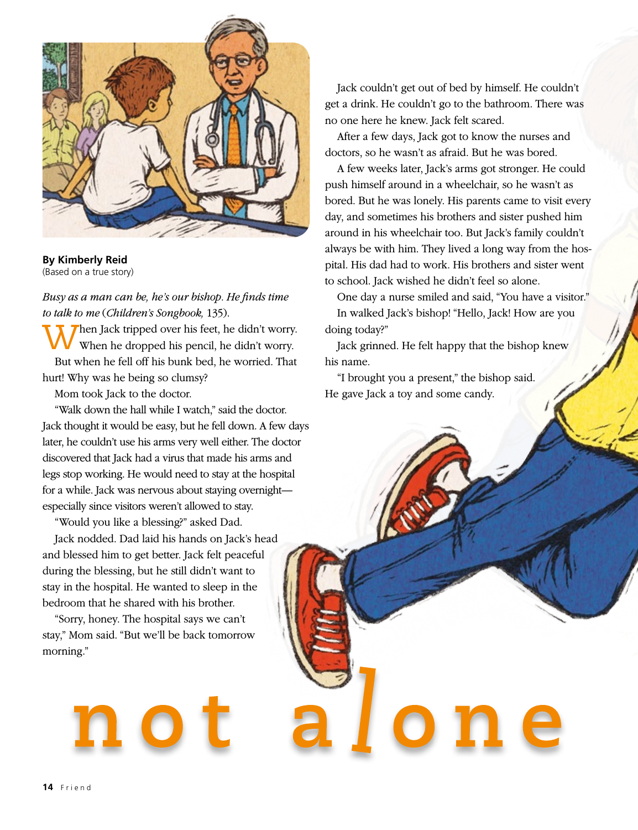

**By Kimberly Reid** (Based on a true story)

*Busy as a man can be, he's our bishop. He finds time to talk to me* (*Children's Songbook,* 135).

When Jack tripped over his feet, he didn't worry.<br>When he dropped his pencil, he didn't worry. But when he fell off his bunk bed, he worried. That hurt! Why was he being so clumsy?

Mom took Jack to the doctor.

"Walk down the hall while I watch," said the doctor. Jack thought it would be easy, but he fell down. A few days later, he couldn't use his arms very well either. The doctor discovered that Jack had a virus that made his arms and legs stop working. He would need to stay at the hospital for a while. Jack was nervous about staying overnight especially since visitors weren't allowed to stay.

"Would you like a blessing?" asked Dad.

Jack nodded. Dad laid his hands on Jack's head and blessed him to get better. Jack felt peaceful during the blessing, but he still didn't want to stay in the hospital. He wanted to sleep in the bedroom that he shared with his brother.

"Sorry, honey. The hospital says we can't stay," Mom said. "But we'll be back tomorrow morning."

Jack couldn't get out of bed by himself. He couldn't get a drink. He couldn't go to the bathroom. There was no one here he knew. Jack felt scared.

After a few days, Jack got to know the nurses and doctors, so he wasn't as afraid. But he was bored.

A few weeks later, Jack's arms got stronger. He could push himself around in a wheelchair, so he wasn't as bored. But he was lonely. His parents came to visit every day, and sometimes his brothers and sister pushed him around in his wheelchair too. But Jack's family couldn't always be with him. They lived a long way from the hospital. His dad had to work. His brothers and sister went to school. Jack wished he didn't feel so alone.

One day a nurse smiled and said, "You have a visitor." In walked Jack's bishop! "Hello, Jack! How are you doing today?"

Jack grinned. He felt happy that the bishop knew his name.

"I brought you a present," the bishop said. He gave Jack a toy and some candy.